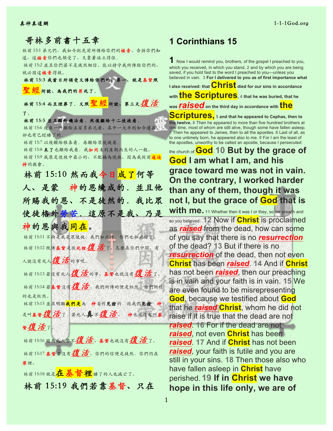## 哥林多前書十五章 林前 15:1 弟兄們、我如今把先前所傳給你們的福音、告訴你們知 道、這福音你們也領受了、又靠著站立得住. 林前 15:2 並且你們若不是徒然相信、能以持守我所傳給你們的、

就必因這福音得救。 林前 15:3 我當日所領受又傳給你們的、第⼀、就是基督照 经所說、為我們的罪死了.

林前 15:4 而且埋葬了. 又照里經所說、第三天復活

了.

林前 15:5 並且顧給磯法看.然後顧給十二使徒看. 林前15:6 後來一時顯給五百多弟兄看、其中一大半到如今還在、 卻也有已經睡了的. 林前 15:7 以後顯給雅各看.再顯給眾使徒看. 林前15:8 末了也顯給我看. 我如同未到產期而生的人一般。

林前 15:9 我原是使徒中最小的、不配稱為使徒、因為我從前逼迫 神的教會。

林前 15:10 然而我今日成了何等 ⼈、是蒙 神的恩纔成的.並且他 所賜我的恩、不是徒然的.我比眾 使徒格外勞苦.這原不是我、乃是 神的恩與我同在。 林前 15:11 不拘是我是眾使徒、我們如此傳、你們也如此信了。

林前 15:12 既傳基督是從死裡復活了、怎麼在你們中間、有 人說没有死人復活的事呢。 林前15:13 若沒有死人復活的事、基督也就沒有復活了。

林前 15:14 若基督沒有復 活、我們所傳的便是枉然、你們所信 的也是枉然。

林前 15:15 並且明顯我們是為 神妄作見證的.因我們見證 神 是叫基督復活了. 若死人真不復活、神也就沒有叫基

<sup>督</sup>復活了。

林前 15:16 因為死人若不復活、基督也就沒有復活了。

林前 15:17 基督若沒有復活、你們的信便是徒然.你們仍在 罪裡。

林前 15:18 就是<mark>在 基督 裡</mark>睡了的人也滅亡了。

林前 15:19 我們若靠基督、只在

# **1 Corinthians 15**

**1** Now I would remind you, brothers, of the gospel I preached to you, which you received, in which you stand, **2** and by which you are being saved, if you hold fast to the word I preached to you—unless you believed in vain. **3 For I delivered to you as of first importance what** 

**I also received: that Christ died for our sins in accordance with the Scriptures, 4 that he was buried, that he was** *raised***on the third day in accordance with the** 

**Scriptures, <sup>5</sup> and that he appeared to Cephas, then to the twelve. 6** Then he appeared to more than five hundred brothers at one time, most of whom are still alive, though some have fallen asleep. **7** Then he appeared to James, then to all the apostles. **8** Last of all, as to one untimely born, he appeared also to me. **9** For I am the least of the apostles, unworthy to be called an apostle, because I persecuted

# the church of **God**. **10 But by the grace of God I am what I am, and his grace toward me was not in vain. On the contrary, I worked harder than any of them, though it was not I, but the grace of God that is**

**with me.** 11 Whether then it was I or they, so we preach and so you believed. **12** Now if **Christ** is proclaimed as *raised* from the dead, how can some of you say that there is no *resurrection* of the dead? **13** But if there is no *resurrection* of the dead, then not even **Christ** has been *raised*. **14** And if **Christ** has not been *raised*, then our preaching is in vain and your faith is in vain. **15** We are even found to be misrepresenting **God**, because we testified about **God** that he *raised* **Christ**, whom he did not raise if it is true that the dead are not *raised*. **16** For if the dead are not *raised*, not even **Christ** has been *raised*. **17** And if **Christ** has not been *raised*, your faith is futile and you are still in your sins. **18** Then those also who have fallen asleep in **Christ** have perished. **19 If in Christ we have hope in this life only, we are of**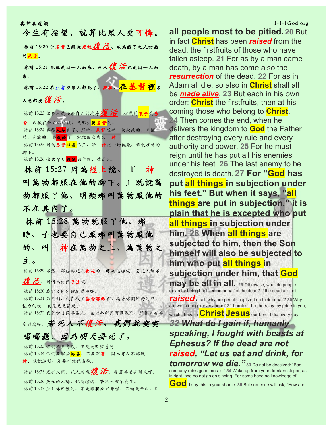| 今生有指望、就算比眾人更可憐。                                                                      |
|--------------------------------------------------------------------------------------|
| 林前 15:20 但基督已經從死裡2 0 活、成為睡了之人初熟<br>的果子。                                              |
| 林前 15:21 死既是因一人而來、死人 <i>復 活</i> 也是因一人而                                               |
| 來。                                                                                   |
| 林前 15:22 在亚当裡眾人都死了. 照樣、 <mark>在 基 督 裡</mark> 眾                                       |
| 人也都要復活。                                                                              |
| 林前15:23但各人是按著自己的次序1度活。初熟的 <mark>果子</mark> 是基                                         |
| 督. 以後在他來的時候、是那些 <mark>屬基督</mark> 的。                                                  |
| 林前15:24 再後 <mark>末期</mark> 到了、那時、基督既將一切執政的、掌權<br>的、有能的、都 <mark>毀滅</mark> 了、就把國交與父 神。 |
| 林前15:25 因為基督必要作王、等 神把一切仇敵、都放在他的                                                      |
| 腳下。                                                                                  |
| 林前15:26儘末了所 <mark>毀滅</mark> 的仇敵、就是死。                                                 |
| 林前 15:27 因為經上說、『 神                                                                   |
| 叫萬物都服在他的腳下。』既說萬                                                                      |
| 物都服了他、明顯那叫萬物服他的                                                                      |
| 不在其内了。                                                                               |
| 林前 15:28 萬物既服了他、那                                                                    |
| 時、子也要自己服那叫萬物服他                                                                       |
|                                                                                      |
| 的、叫 神在萬物之上、為萬物之                                                                      |
|                                                                                      |
| 主。                                                                                   |
| 林前15:29 不然、那些為死人受洗的、將來怎樣呢。若死人總不                                                      |
| 復活、因何為他們受洗呢.<br>林前15:30 我們又因何時刻冒險呢。                                                  |
| 林前15:31 弟兄們、我在我主基督耶穌裡、指著你們所誇的口、                                                      |
| 極力的說、我是天天冒死。                                                                         |
| 林前15:32 我若當日像尋常人、在以弗所同野獸戰鬥、那於我有甚                                                     |
| <b>鹰盖處呢. 若死人不復活、我們就喫喫</b>                                                            |
| 喝喝罷。因為明天要死了。                                                                         |
| 林前15:33 你們不要自欺. 濫交是敗壞善行。                                                             |
| 林前 15:34 你們要醒悟 <mark>為善</mark> 、不要犯罪. 因為有人不認識                                        |
| 神 我說這話、是要叫你們羞愧。<br>林前 15:35 或有人問、死人怎樣2夏 活. 帶著甚麼身體來呢。                                 |

林前15:37 並且你所種的、不是那將來的形體、不過是子粒、即

### 真神真道網 1-1-1God.org としょう しょうしょう しゅうしょう しゅうしょう しゅうしゅうしゅぎょう しゅうしゅうしゅ

**all people most to be pitied. 20** But in fact **Christ** has been *raised* from the dead, the firstfruits of those who have fallen asleep. **21** For as by a man came death, by a man has come also the *resurrection* of the dead. **22** For as in Adam all die, so also in **Christ** shall all be *made alive*. **23** But each in his own order: **Christ** the firstfruits, then at his coming those who belong to **Christ**. **24** Then comes the end, when he delivers the kingdom to **God** the Father after destroying every rule and every authority and power. **25** For he must reign until he has put all his enemies under his feet. **26** The last enemy to be destroyed is death. **27 For "God has put all things in subjection under his feet." But when it says, "all things are put in subjection," it is plain that he is excepted who put all things in subjection under him. 28 When all things are subjected to him, then the Son himself will also be subjected to him who put all things in subjection under him, that God may be all in all.** 29 Otherwise, what do people mean by being baptized on behalf of the dead? If the dead are not **raised** at all, why are people baptized on their behalf? 30 Why are we in danger every hour? **31** I protest, brothers, by my pride in you,

which I have in **Christ Jesus** our Lord, I die every day! *32 What do I gain if, humanly speaking, I fought with beasts at Ephesus? If the dead are not raised, "Let us eat and drink, for* 

*tomorrow we die."* **<sup>33</sup>** Do not be deceived: "Bad company ruins good morals." **34** Wake up from your drunken stupor, as is right, and do not go on sinning. For some have no knowledge of

**GOD**. I say this to your shame. 35 But someone will ask, "How are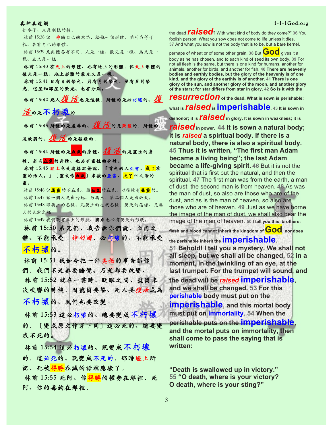真神真道網 1-1-1God.org としょう しょうしょう しょうしょうしゅぎょう しゅうしゅう しょうしゅうしゅぎょう しょうしゅうしゅ 如麥子、或是別樣的穀. 林前 15:38 但 神隨自己的意思、給他一個形體、並叫各等子 粒、各有自⼰的形體。 林前 15:39 凡肉體各有不同. 人是一樣、獸又是一樣、鳥又是一 樣、魚又是一樣。 林前 15:40 有天上的形體、也有地上的形體.但天上形體的 榮光是一樣、地上形體的榮光又是一樣。 林前 15:41 日有日的榮光、月有月的榮光、星有星的榮 光.這星和那星的榮光、也有分別。 林前 15:42 死人復活也是這樣. 所種的是必朽壞的、復 活的是不朽壞的. 林前 15:43 所種的是羞辱的、復活的是荣耀的. 所種的 是軟弱的、復活的是強壯的. 林前 15:44 所種的是血氣的身體、復活的是靈性的身 體.若有血氣的身體、也必有靈性的身體。 林前 15:45 經上也是這樣記著說、『首先的⼈亞當、成了有 靈的活人。』〔靈或作<mark>血氣</mark>〕末後的亞當、成了叫人活的 靈。 林前 15:46 但<mark>屬 靈</mark>的不在先、屬<mark>血氣</mark>的在先. 以後纔有屬靈的。 林前 15:47 頭一個人是出於地、乃屬土. 第二個人是出於天。 林前15:48 那屬土的怎樣、凡屬土的也就怎樣. 屬天的怎樣、凡屬 天的也就怎樣。 林前15:49 我們既有屬土的形狀、將來也必有屬天的形狀。 林前 15:50 弟兄們、我告訴你們說、血肉之 體、不能承受 神的國. 必朽壞的、不能承受 不朽壞的。 林前 15:51 我如今把⼀件奧秘的事告訴你 們. 我們不是都要睡覺、乃是都要改變、 林前 15:52 就在一霎時、眨眼之間、號筒末 次吹響的時候.因號筒要響、死⼈要復活成為 不朽壞的、我們也要改變。 林前 15:53 這必朽壞的、總要變成不朽壞 的.〔變成原⽂作穿下同〕這必死的、總要變 成不死的。

 林前 15:54 這必朽壞的、既變成不朽壞 的.這必死的、既變成不死的.那時經上所 記、死被<mark>得勝</mark>吞滅的話就應驗了。

林前 15:55 死阿、你得勝的權勢在那裡.死 阿、你的毒鉤在那裡.

the dead *raised*? With what kind of body do they come?" **<sup>36</sup>** You foolish person! What you sow does not come to life unless it dies. **37** And what you sow is not the body that is to be, but a bare kernel,

perhaps of wheat or of some other grain. 38 But **GOO** gives it a body as he has chosen, and to each kind of seed its own body. **39** For not all flesh is the same, but there is one kind for humans, another for animals, another for birds, and another for fish. **40 There are heavenly bodies and earthly bodies, but the glory of the heavenly is of one kind, and the glory of the earthly is of another. 41 There is one glory of the sun, and another glory of the moon, and another glory of the stars; for star differs from star in glory. 42 So is it with the** 

*resurrection***of the dead. What is sown is perishable; what is** *raised***is imperishable. 43 It is sown in dishonor; it is** *raised***in glory. It is sown in weakness; it is**  *raised***in power. 44 It is sown a natural body;** 

**it is** *raised* **a spiritual body. If there is a natural body, there is also a spiritual body. 45 Thus it is written, "The first man Adam became a living being"; the last Adam became a life-giving spirit. 46** But it is not the spiritual that is first but the natural, and then the spiritual. **47** The first man was from the earth, a man of dust; the second man is from heaven. **48** As was the man of dust, so also are those who are of the dust, and as is the man of heaven, so also are those who are of heaven. **49** Just as we have borne the image of the man of dust, we shall also bear the image of the man of heaven. **50 I tell you this, brothers:** 

**flesh and blood cannot inherit the kingdom of God, nor does** 

**the perishable inherit the imperishable**. **51 Behold! I tell you a mystery. We shall not all sleep, but we shall all be changed, 52 in a moment, in the twinkling of an eye, at the last trumpet. For the trumpet will sound, and the dead will be** *raised* **imperishable, and we shall be changed. 53 For this perishable body must put on the imperishable, and this mortal body must put on immortality. 54 When the perishable puts on the imperishable, and the mortal puts on immortality, then shall come to pass the saying that is written:**

**"Death is swallowed up in victory." 55 "O death, where is your victory? O death, where is your sting?"**